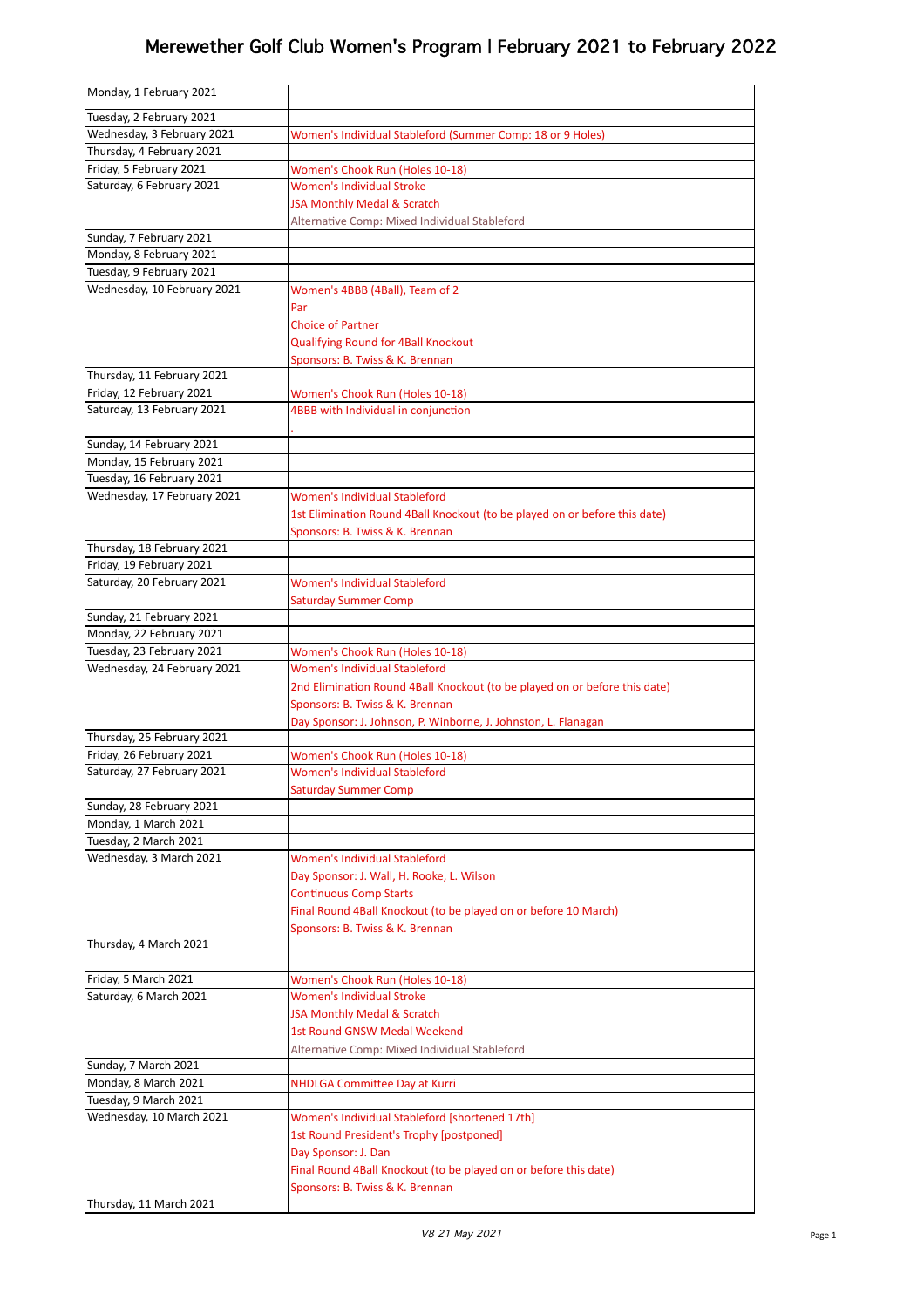| Monday, 1 February 2021                        |                                                                                                             |
|------------------------------------------------|-------------------------------------------------------------------------------------------------------------|
| Tuesday, 2 February 2021                       |                                                                                                             |
| Wednesday, 3 February 2021                     | Women's Individual Stableford (Summer Comp: 18 or 9 Holes)                                                  |
| Thursday, 4 February 2021                      |                                                                                                             |
| Friday, 5 February 2021                        | Women's Chook Run (Holes 10-18)                                                                             |
| Saturday, 6 February 2021                      | <b>Women's Individual Stroke</b>                                                                            |
|                                                | <b>JSA Monthly Medal &amp; Scratch</b>                                                                      |
|                                                | Alternative Comp: Mixed Individual Stableford                                                               |
| Sunday, 7 February 2021                        |                                                                                                             |
| Monday, 8 February 2021                        |                                                                                                             |
| Tuesday, 9 February 2021                       |                                                                                                             |
| Wednesday, 10 February 2021                    | Women's 4BBB (4Ball), Team of 2                                                                             |
|                                                | Par                                                                                                         |
|                                                | <b>Choice of Partner</b>                                                                                    |
|                                                | Qualifying Round for 4Ball Knockout                                                                         |
| Thursday, 11 February 2021                     | Sponsors: B. Twiss & K. Brennan                                                                             |
| Friday, 12 February 2021                       | Women's Chook Run (Holes 10-18)                                                                             |
| Saturday, 13 February 2021                     | 4BBB with Individual in conjunction                                                                         |
|                                                |                                                                                                             |
| Sunday, 14 February 2021                       |                                                                                                             |
| Monday, 15 February 2021                       |                                                                                                             |
| Tuesday, 16 February 2021                      |                                                                                                             |
| Wednesday, 17 February 2021                    | Women's Individual Stableford                                                                               |
|                                                | 1st Elimination Round 4Ball Knockout (to be played on or before this date)                                  |
|                                                | Sponsors: B. Twiss & K. Brennan                                                                             |
| Thursday, 18 February 2021                     |                                                                                                             |
| Friday, 19 February 2021                       |                                                                                                             |
| Saturday, 20 February 2021                     | Women's Individual Stableford                                                                               |
|                                                | <b>Saturday Summer Comp</b>                                                                                 |
| Sunday, 21 February 2021                       |                                                                                                             |
| Monday, 22 February 2021                       |                                                                                                             |
| Tuesday, 23 February 2021                      | Women's Chook Run (Holes 10-18)                                                                             |
| Wednesday, 24 February 2021                    | Women's Individual Stableford<br>2nd Elimination Round 4Ball Knockout (to be played on or before this date) |
|                                                | Sponsors: B. Twiss & K. Brennan                                                                             |
|                                                | Day Sponsor: J. Johnson, P. Winborne, J. Johnston, L. Flanagan                                              |
| Thursday, 25 February 2021                     |                                                                                                             |
| Friday, 26 February 2021                       | Women's Chook Run (Holes 10-18)                                                                             |
| Saturday, 27 February 2021                     | Women's Individual Stableford                                                                               |
|                                                | <b>Saturday Summer Comp</b>                                                                                 |
| Sunday, 28 February 2021                       |                                                                                                             |
| Monday, 1 March 2021                           |                                                                                                             |
| Tuesday, 2 March 2021                          |                                                                                                             |
| Wednesday, 3 March 2021                        | Women's Individual Stableford                                                                               |
|                                                | Day Sponsor: J. Wall, H. Rooke, L. Wilson                                                                   |
|                                                | <b>Continuous Comp Starts</b>                                                                               |
|                                                | Final Round 4Ball Knockout (to be played on or before 10 March)                                             |
|                                                | Sponsors: B. Twiss & K. Brennan                                                                             |
| Thursday, 4 March 2021                         |                                                                                                             |
|                                                |                                                                                                             |
| Friday, 5 March 2021<br>Saturday, 6 March 2021 | Women's Chook Run (Holes 10-18)<br><b>Women's Individual Stroke</b>                                         |
|                                                | <b>JSA Monthly Medal &amp; Scratch</b>                                                                      |
|                                                | 1st Round GNSW Medal Weekend                                                                                |
|                                                | Alternative Comp: Mixed Individual Stableford                                                               |
| Sunday, 7 March 2021                           |                                                                                                             |
| Monday, 8 March 2021                           | <b>NHDLGA Committee Day at Kurri</b>                                                                        |
| Tuesday, 9 March 2021                          |                                                                                                             |
| Wednesday, 10 March 2021                       | Women's Individual Stableford [shortened 17th]                                                              |
|                                                | 1st Round President's Trophy [postponed]                                                                    |
|                                                | Day Sponsor: J. Dan                                                                                         |
|                                                | Final Round 4Ball Knockout (to be played on or before this date)                                            |
|                                                | Sponsors: B. Twiss & K. Brennan                                                                             |
| Thursday, 11 March 2021                        |                                                                                                             |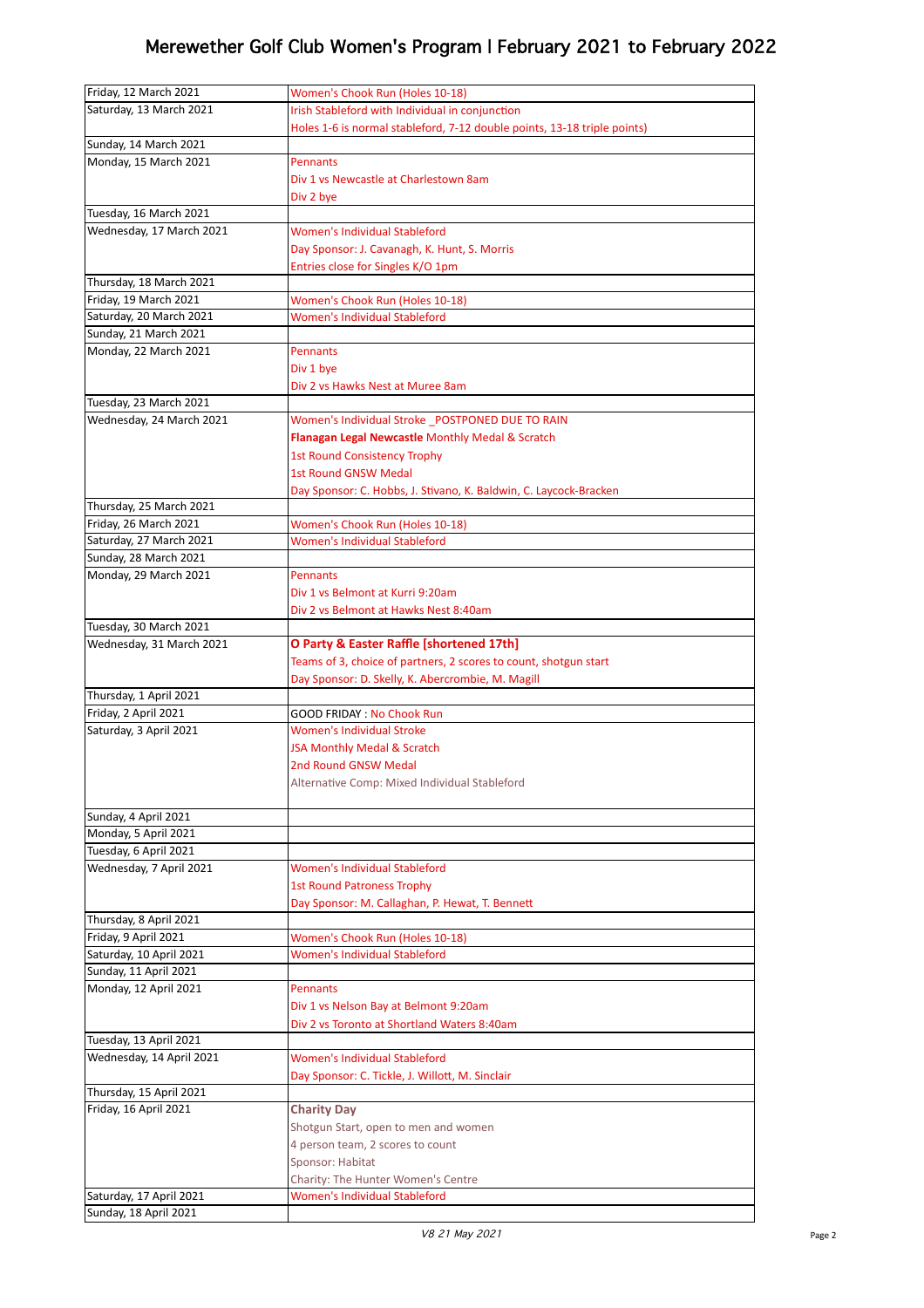| Friday, 12 March 2021    | Women's Chook Run (Holes 10-18)                                          |
|--------------------------|--------------------------------------------------------------------------|
| Saturday, 13 March 2021  | Irish Stableford with Individual in conjunction                          |
|                          |                                                                          |
|                          | Holes 1-6 is normal stableford, 7-12 double points, 13-18 triple points) |
| Sunday, 14 March 2021    |                                                                          |
| Monday, 15 March 2021    | <b>Pennants</b>                                                          |
|                          | Div 1 vs Newcastle at Charlestown 8am                                    |
|                          | Div 2 bye                                                                |
| Tuesday, 16 March 2021   |                                                                          |
| Wednesday, 17 March 2021 | Women's Individual Stableford                                            |
|                          | Day Sponsor: J. Cavanagh, K. Hunt, S. Morris                             |
|                          | Entries close for Singles K/O 1pm                                        |
| Thursday, 18 March 2021  |                                                                          |
|                          |                                                                          |
| Friday, 19 March 2021    | Women's Chook Run (Holes 10-18)                                          |
| Saturday, 20 March 2021  | Women's Individual Stableford                                            |
| Sunday, 21 March 2021    |                                                                          |
| Monday, 22 March 2021    | <b>Pennants</b>                                                          |
|                          | Div 1 bye                                                                |
|                          | Div 2 vs Hawks Nest at Muree 8am                                         |
| Tuesday, 23 March 2021   |                                                                          |
| Wednesday, 24 March 2021 | Women's Individual Stroke POSTPONED DUE TO RAIN                          |
|                          | Flanagan Legal Newcastle Monthly Medal & Scratch                         |
|                          |                                                                          |
|                          | <b>1st Round Consistency Trophy</b>                                      |
|                          | <b>1st Round GNSW Medal</b>                                              |
|                          | Day Sponsor: C. Hobbs, J. Stivano, K. Baldwin, C. Laycock-Bracken        |
| Thursday, 25 March 2021  |                                                                          |
| Friday, 26 March 2021    | Women's Chook Run (Holes 10-18)                                          |
| Saturday, 27 March 2021  | Women's Individual Stableford                                            |
| Sunday, 28 March 2021    |                                                                          |
| Monday, 29 March 2021    | <b>Pennants</b>                                                          |
|                          | Div 1 vs Belmont at Kurri 9:20am                                         |
|                          | Div 2 vs Belmont at Hawks Nest 8:40am                                    |
| Tuesday, 30 March 2021   |                                                                          |
|                          |                                                                          |
| Wednesday, 31 March 2021 | O Party & Easter Raffle [shortened 17th]                                 |
|                          | Teams of 3, choice of partners, 2 scores to count, shotgun start         |
|                          | Day Sponsor: D. Skelly, K. Abercrombie, M. Magill                        |
| Thursday, 1 April 2021   |                                                                          |
| Friday, 2 April 2021     | <b>GOOD FRIDAY: No Chook Run</b>                                         |
| Saturday, 3 April 2021   | <b>Women's Individual Stroke</b>                                         |
|                          | JSA Monthly Medal & Scratch                                              |
|                          | 2nd Round GNSW Medal                                                     |
|                          | Alternative Comp: Mixed Individual Stableford                            |
|                          |                                                                          |
| Sunday, 4 April 2021     |                                                                          |
| Monday, 5 April 2021     |                                                                          |
|                          |                                                                          |
| Tuesday, 6 April 2021    |                                                                          |
| Wednesday, 7 April 2021  | Women's Individual Stableford                                            |
|                          | <b>1st Round Patroness Trophy</b>                                        |
|                          | Day Sponsor: M. Callaghan, P. Hewat, T. Bennett                          |
|                          |                                                                          |
| Thursday, 8 April 2021   |                                                                          |
| Friday, 9 April 2021     | Women's Chook Run (Holes 10-18)                                          |
| Saturday, 10 April 2021  | Women's Individual Stableford                                            |
| Sunday, 11 April 2021    |                                                                          |
|                          | <b>Pennants</b>                                                          |
| Monday, 12 April 2021    |                                                                          |
|                          | Div 1 vs Nelson Bay at Belmont 9:20am                                    |
|                          | Div 2 vs Toronto at Shortland Waters 8:40am                              |
| Tuesday, 13 April 2021   |                                                                          |
| Wednesday, 14 April 2021 | Women's Individual Stableford                                            |
|                          | Day Sponsor: C. Tickle, J. Willott, M. Sinclair                          |
| Thursday, 15 April 2021  |                                                                          |
| Friday, 16 April 2021    | <b>Charity Day</b>                                                       |
|                          | Shotgun Start, open to men and women                                     |
|                          | 4 person team, 2 scores to count                                         |
|                          | Sponsor: Habitat                                                         |
|                          |                                                                          |
| Saturday, 17 April 2021  | Charity: The Hunter Women's Centre<br>Women's Individual Stableford      |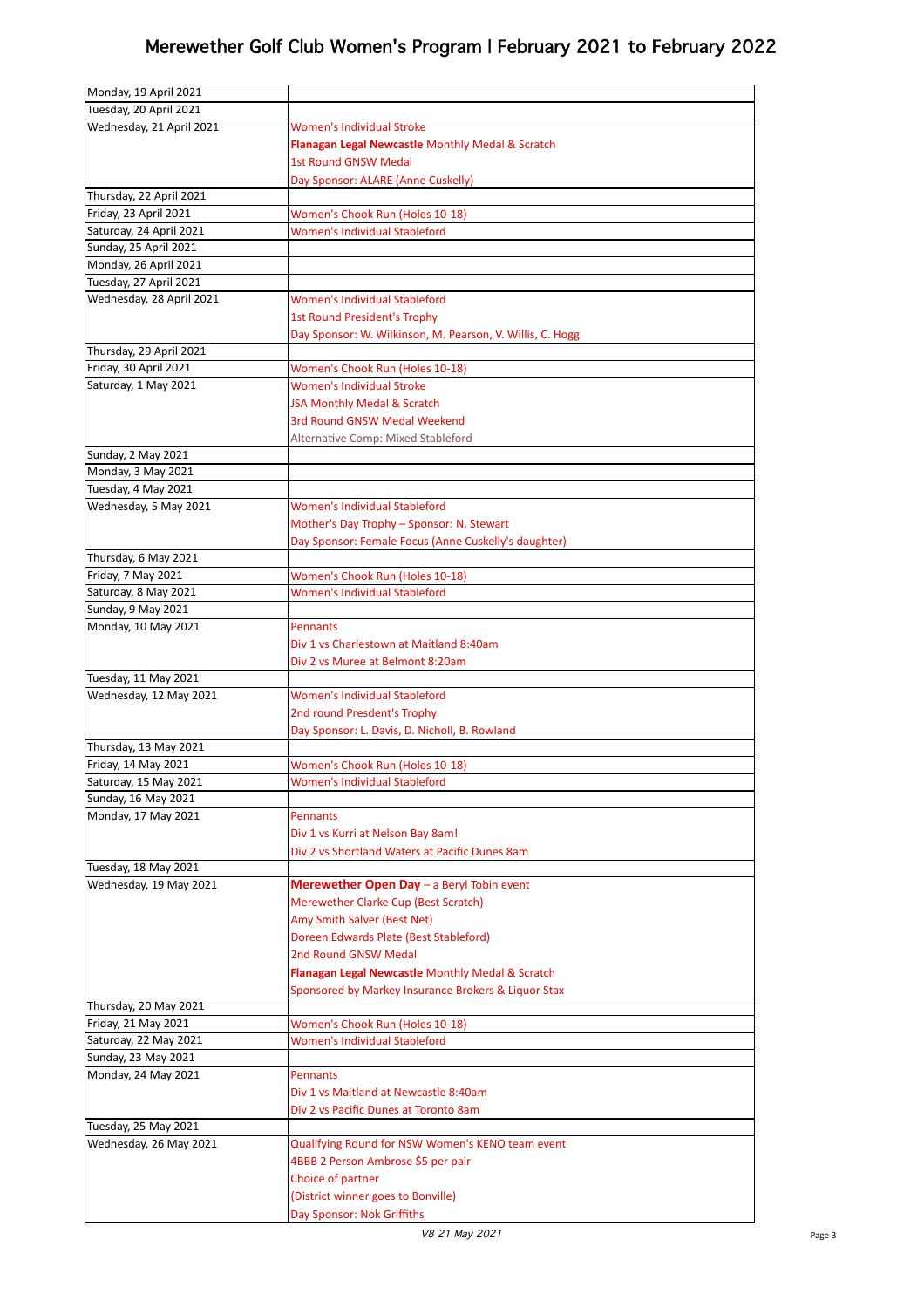| Monday, 19 April 2021    |                                                           |
|--------------------------|-----------------------------------------------------------|
| Tuesday, 20 April 2021   |                                                           |
| Wednesday, 21 April 2021 | Women's Individual Stroke                                 |
|                          | Flanagan Legal Newcastle Monthly Medal & Scratch          |
|                          | <b>1st Round GNSW Medal</b>                               |
|                          | Day Sponsor: ALARE (Anne Cuskelly)                        |
| Thursday, 22 April 2021  |                                                           |
| Friday, 23 April 2021    | Women's Chook Run (Holes 10-18)                           |
| Saturday, 24 April 2021  | Women's Individual Stableford                             |
| Sunday, 25 April 2021    |                                                           |
| Monday, 26 April 2021    |                                                           |
| Tuesday, 27 April 2021   |                                                           |
| Wednesday, 28 April 2021 | Women's Individual Stableford                             |
|                          | <b>1st Round President's Trophy</b>                       |
|                          | Day Sponsor: W. Wilkinson, M. Pearson, V. Willis, C. Hogg |
| Thursday, 29 April 2021  |                                                           |
| Friday, 30 April 2021    | Women's Chook Run (Holes 10-18)                           |
| Saturday, 1 May 2021     | Women's Individual Stroke                                 |
|                          | JSA Monthly Medal & Scratch                               |
|                          | 3rd Round GNSW Medal Weekend                              |
|                          | Alternative Comp: Mixed Stableford                        |
| Sunday, 2 May 2021       |                                                           |
| Monday, 3 May 2021       |                                                           |
| Tuesday, 4 May 2021      |                                                           |
| Wednesday, 5 May 2021    | Women's Individual Stableford                             |
|                          | Mother's Day Trophy - Sponsor: N. Stewart                 |
|                          | Day Sponsor: Female Focus (Anne Cuskelly's daughter)      |
| Thursday, 6 May 2021     |                                                           |
| Friday, 7 May 2021       | Women's Chook Run (Holes 10-18)                           |
| Saturday, 8 May 2021     | Women's Individual Stableford                             |
| Sunday, 9 May 2021       |                                                           |
| Monday, 10 May 2021      | Pennants                                                  |
|                          | Div 1 vs Charlestown at Maitland 8:40am                   |
| Tuesday, 11 May 2021     | Div 2 vs Muree at Belmont 8:20am                          |
| Wednesday, 12 May 2021   | Women's Individual Stableford                             |
|                          | 2nd round Presdent's Trophy                               |
|                          | Day Sponsor: L. Davis, D. Nicholl, B. Rowland             |
| Thursday, 13 May 2021    |                                                           |
| Friday, 14 May 2021      | Women's Chook Run (Holes 10-18)                           |
| Saturday, 15 May 2021    | Women's Individual Stableford                             |
| Sunday, 16 May 2021      |                                                           |
| Monday, 17 May 2021      | <b>Pennants</b>                                           |
|                          | Div 1 vs Kurri at Nelson Bay 8am!                         |
|                          | Div 2 vs Shortland Waters at Pacific Dunes 8am            |
| Tuesday, 18 May 2021     |                                                           |
| Wednesday, 19 May 2021   | Merewether Open Day - a Beryl Tobin event                 |
|                          | Merewether Clarke Cup (Best Scratch)                      |
|                          | Amy Smith Salver (Best Net)                               |
|                          | Doreen Edwards Plate (Best Stableford)                    |
|                          | 2nd Round GNSW Medal                                      |
|                          | Flanagan Legal Newcastle Monthly Medal & Scratch          |
|                          | Sponsored by Markey Insurance Brokers & Liquor Stax       |
| Thursday, 20 May 2021    |                                                           |
| Friday, 21 May 2021      | Women's Chook Run (Holes 10-18)                           |
| Saturday, 22 May 2021    | Women's Individual Stableford                             |
| Sunday, 23 May 2021      |                                                           |
| Monday, 24 May 2021      | <b>Pennants</b>                                           |
|                          | Div 1 vs Maitland at Newcastle 8:40am                     |
|                          | Div 2 vs Pacific Dunes at Toronto 8am                     |
| Tuesday, 25 May 2021     |                                                           |
| Wednesday, 26 May 2021   | Qualifying Round for NSW Women's KENO team event          |
|                          | 4BBB 2 Person Ambrose \$5 per pair                        |
|                          | Choice of partner                                         |
|                          | (District winner goes to Bonville)                        |
|                          | Day Sponsor: Nok Griffiths                                |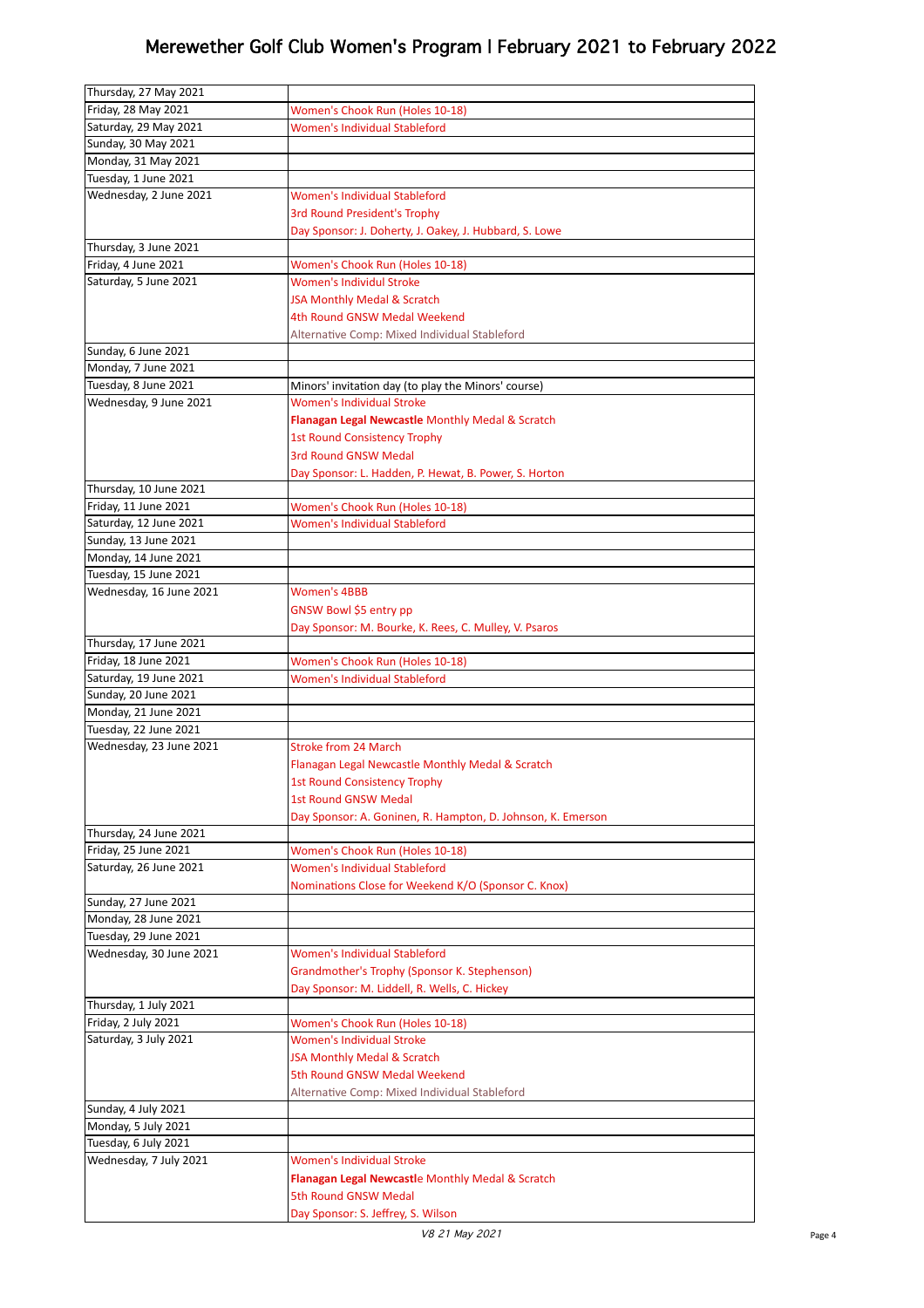| Thursday, 27 May 2021   |                                                             |
|-------------------------|-------------------------------------------------------------|
| Friday, 28 May 2021     | Women's Chook Run (Holes 10-18)                             |
| Saturday, 29 May 2021   | <b>Women's Individual Stableford</b>                        |
| Sunday, 30 May 2021     |                                                             |
| Monday, 31 May 2021     |                                                             |
| Tuesday, 1 June 2021    |                                                             |
|                         |                                                             |
| Wednesday, 2 June 2021  | Women's Individual Stableford                               |
|                         | <b>3rd Round President's Trophy</b>                         |
|                         | Day Sponsor: J. Doherty, J. Oakey, J. Hubbard, S. Lowe      |
| Thursday, 3 June 2021   |                                                             |
| Friday, 4 June 2021     | Women's Chook Run (Holes 10-18)                             |
| Saturday, 5 June 2021   | <b>Women's Individul Stroke</b>                             |
|                         | JSA Monthly Medal & Scratch                                 |
|                         | 4th Round GNSW Medal Weekend                                |
|                         | Alternative Comp: Mixed Individual Stableford               |
| Sunday, 6 June 2021     |                                                             |
| Monday, 7 June 2021     |                                                             |
| Tuesday, 8 June 2021    | Minors' invitation day (to play the Minors' course)         |
| Wednesday, 9 June 2021  | <b>Women's Individual Stroke</b>                            |
|                         |                                                             |
|                         | Flanagan Legal Newcastle Monthly Medal & Scratch            |
|                         | <b>1st Round Consistency Trophy</b>                         |
|                         | 3rd Round GNSW Medal                                        |
|                         | Day Sponsor: L. Hadden, P. Hewat, B. Power, S. Horton       |
| Thursday, 10 June 2021  |                                                             |
| Friday, 11 June 2021    | Women's Chook Run (Holes 10-18)                             |
| Saturday, 12 June 2021  | Women's Individual Stableford                               |
| Sunday, 13 June 2021    |                                                             |
| Monday, 14 June 2021    |                                                             |
| Tuesday, 15 June 2021   |                                                             |
| Wednesday, 16 June 2021 | <b>Women's 4BBB</b>                                         |
|                         | GNSW Bowl \$5 entry pp                                      |
|                         | Day Sponsor: M. Bourke, K. Rees, C. Mulley, V. Psaros       |
| Thursday, 17 June 2021  |                                                             |
|                         |                                                             |
|                         |                                                             |
| Friday, 18 June 2021    | Women's Chook Run (Holes 10-18)                             |
| Saturday, 19 June 2021  | <b>Women's Individual Stableford</b>                        |
| Sunday, 20 June 2021    |                                                             |
| Monday, 21 June 2021    |                                                             |
| Tuesday, 22 June 2021   |                                                             |
| Wednesday, 23 June 2021 | <b>Stroke from 24 March</b>                                 |
|                         | Flanagan Legal Newcastle Monthly Medal & Scratch            |
|                         |                                                             |
|                         | 1st Round Consistency Trophy<br><b>1st Round GNSW Medal</b> |
|                         |                                                             |
|                         | Day Sponsor: A. Goninen, R. Hampton, D. Johnson, K. Emerson |
| Thursday, 24 June 2021  |                                                             |
| Friday, 25 June 2021    | Women's Chook Run (Holes 10-18)                             |
| Saturday, 26 June 2021  | Women's Individual Stableford                               |
|                         | Nominations Close for Weekend K/O (Sponsor C. Knox)         |
| Sunday, 27 June 2021    |                                                             |
| Monday, 28 June 2021    |                                                             |
| Tuesday, 29 June 2021   |                                                             |
| Wednesday, 30 June 2021 | Women's Individual Stableford                               |
|                         | Grandmother's Trophy (Sponsor K. Stephenson)                |
|                         | Day Sponsor: M. Liddell, R. Wells, C. Hickey                |
| Thursday, 1 July 2021   |                                                             |
| Friday, 2 July 2021     | Women's Chook Run (Holes 10-18)                             |
| Saturday, 3 July 2021   | <b>Women's Individual Stroke</b>                            |
|                         | JSA Monthly Medal & Scratch                                 |
|                         | 5th Round GNSW Medal Weekend                                |
|                         |                                                             |
|                         | Alternative Comp: Mixed Individual Stableford               |
| Sunday, 4 July 2021     |                                                             |
| Monday, 5 July 2021     |                                                             |
| Tuesday, 6 July 2021    |                                                             |
| Wednesday, 7 July 2021  | Women's Individual Stroke                                   |
|                         | Flanagan Legal Newcastle Monthly Medal & Scratch            |
|                         | 5th Round GNSW Medal<br>Day Sponsor: S. Jeffrey, S. Wilson  |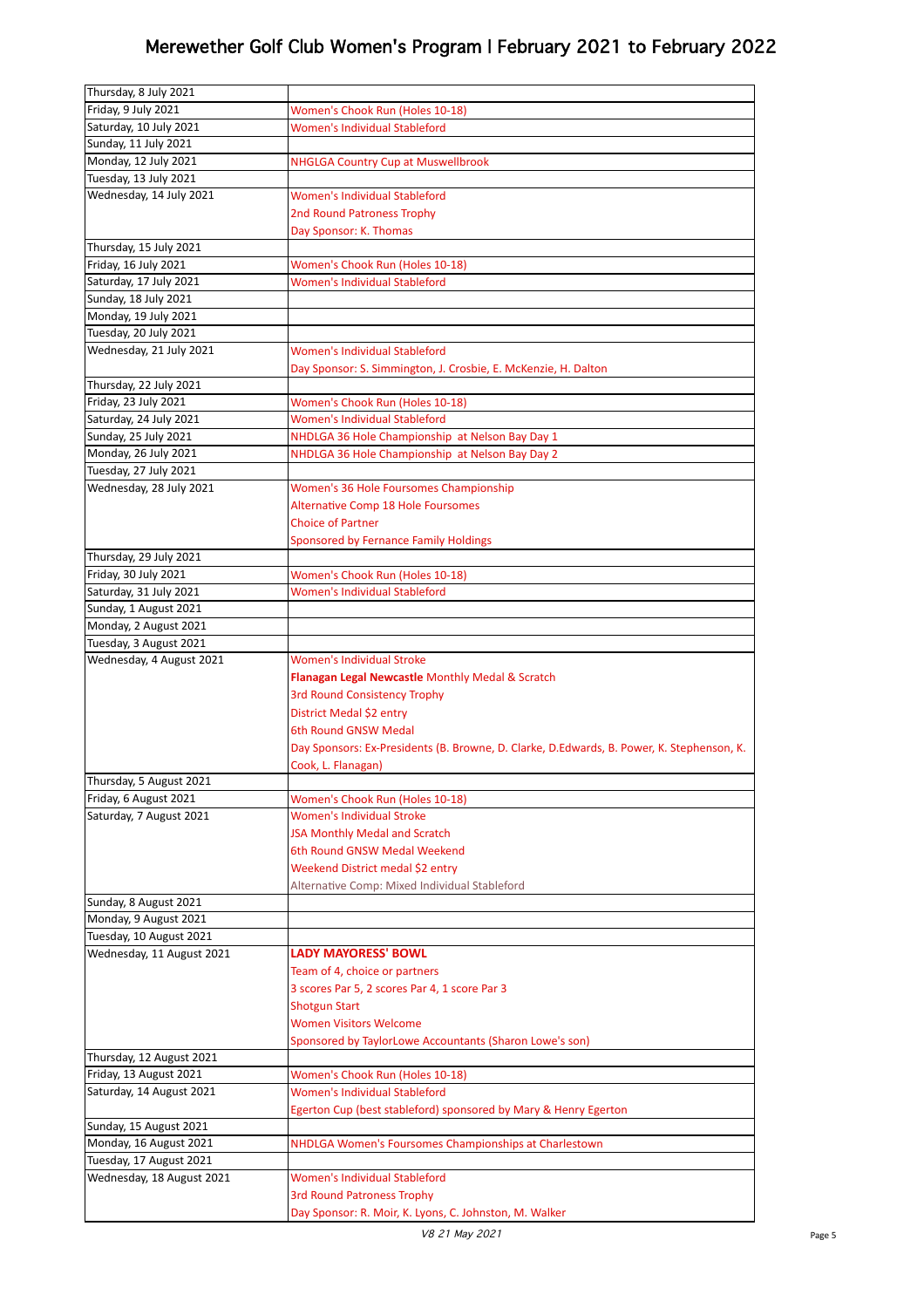| Thursday, 8 July 2021     |                                                                                             |
|---------------------------|---------------------------------------------------------------------------------------------|
| Friday, 9 July 2021       | Women's Chook Run (Holes 10-18)                                                             |
| Saturday, 10 July 2021    | <b>Women's Individual Stableford</b>                                                        |
| Sunday, 11 July 2021      |                                                                                             |
| Monday, 12 July 2021      | <b>NHGLGA Country Cup at Muswellbrook</b>                                                   |
| Tuesday, 13 July 2021     |                                                                                             |
| Wednesday, 14 July 2021   | Women's Individual Stableford                                                               |
|                           | 2nd Round Patroness Trophy                                                                  |
|                           | Day Sponsor: K. Thomas                                                                      |
| Thursday, 15 July 2021    |                                                                                             |
| Friday, 16 July 2021      | Women's Chook Run (Holes 10-18)                                                             |
| Saturday, 17 July 2021    | <b>Women's Individual Stableford</b>                                                        |
| Sunday, 18 July 2021      |                                                                                             |
| Monday, 19 July 2021      |                                                                                             |
| Tuesday, 20 July 2021     |                                                                                             |
| Wednesday, 21 July 2021   | Women's Individual Stableford                                                               |
|                           | Day Sponsor: S. Simmington, J. Crosbie, E. McKenzie, H. Dalton                              |
| Thursday, 22 July 2021    |                                                                                             |
| Friday, 23 July 2021      | Women's Chook Run (Holes 10-18)                                                             |
| Saturday, 24 July 2021    | Women's Individual Stableford                                                               |
| Sunday, 25 July 2021      | NHDLGA 36 Hole Championship at Nelson Bay Day 1                                             |
| Monday, 26 July 2021      | NHDLGA 36 Hole Championship at Nelson Bay Day 2                                             |
| Tuesday, 27 July 2021     |                                                                                             |
| Wednesday, 28 July 2021   | Women's 36 Hole Foursomes Championship                                                      |
|                           | <b>Alternative Comp 18 Hole Foursomes</b>                                                   |
|                           | <b>Choice of Partner</b>                                                                    |
|                           | Sponsored by Fernance Family Holdings                                                       |
| Thursday, 29 July 2021    |                                                                                             |
| Friday, 30 July 2021      | Women's Chook Run (Holes 10-18)                                                             |
| Saturday, 31 July 2021    | Women's Individual Stableford                                                               |
| Sunday, 1 August 2021     |                                                                                             |
| Monday, 2 August 2021     |                                                                                             |
| Tuesday, 3 August 2021    |                                                                                             |
|                           |                                                                                             |
| Wednesday, 4 August 2021  | <b>Women's Individual Stroke</b>                                                            |
|                           | Flanagan Legal Newcastle Monthly Medal & Scratch                                            |
|                           | <b>3rd Round Consistency Trophy</b>                                                         |
|                           | District Medal \$2 entry                                                                    |
|                           | 6th Round GNSW Medal                                                                        |
|                           | Day Sponsors: Ex-Presidents (B. Browne, D. Clarke, D.Edwards, B. Power, K. Stephenson, K.   |
|                           | Cook, L. Flanagan)                                                                          |
| Thursday, 5 August 2021   |                                                                                             |
| Friday, 6 August 2021     | Women's Chook Run (Holes 10-18)                                                             |
| Saturday, 7 August 2021   | <b>Women's Individual Stroke</b>                                                            |
|                           | <b>JSA Monthly Medal and Scratch</b>                                                        |
|                           | 6th Round GNSW Medal Weekend                                                                |
|                           | Weekend District medal \$2 entry                                                            |
|                           | Alternative Comp: Mixed Individual Stableford                                               |
| Sunday, 8 August 2021     |                                                                                             |
| Monday, 9 August 2021     |                                                                                             |
| Tuesday, 10 August 2021   |                                                                                             |
| Wednesday, 11 August 2021 | <b>LADY MAYORESS' BOWL</b>                                                                  |
|                           | Team of 4, choice or partners                                                               |
|                           | 3 scores Par 5, 2 scores Par 4, 1 score Par 3                                               |
|                           | <b>Shotgun Start</b>                                                                        |
|                           | <b>Women Visitors Welcome</b>                                                               |
|                           | Sponsored by TaylorLowe Accountants (Sharon Lowe's son)                                     |
| Thursday, 12 August 2021  |                                                                                             |
| Friday, 13 August 2021    | Women's Chook Run (Holes 10-18)                                                             |
| Saturday, 14 August 2021  | <b>Women's Individual Stableford</b>                                                        |
|                           | Egerton Cup (best stableford) sponsored by Mary & Henry Egerton                             |
| Sunday, 15 August 2021    |                                                                                             |
| Monday, 16 August 2021    | NHDLGA Women's Foursomes Championships at Charlestown                                       |
| Tuesday, 17 August 2021   |                                                                                             |
| Wednesday, 18 August 2021 | <b>Women's Individual Stableford</b>                                                        |
|                           | <b>3rd Round Patroness Trophy</b><br>Day Sponsor: R. Moir, K. Lyons, C. Johnston, M. Walker |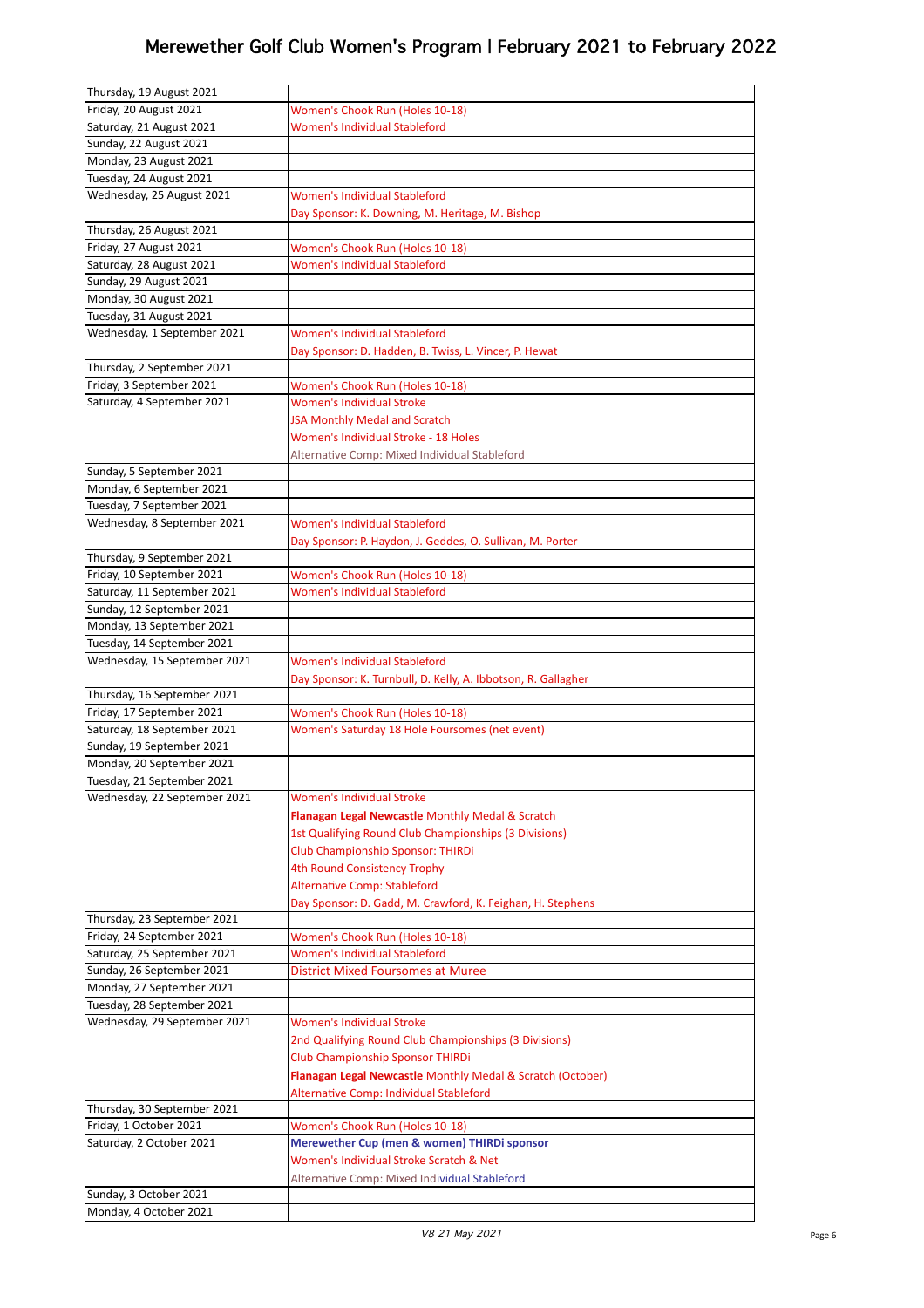| Thursday, 19 August 2021                                 |                                                                           |
|----------------------------------------------------------|---------------------------------------------------------------------------|
| Friday, 20 August 2021                                   | Women's Chook Run (Holes 10-18)                                           |
| Saturday, 21 August 2021                                 | <b>Women's Individual Stableford</b>                                      |
| Sunday, 22 August 2021                                   |                                                                           |
| Monday, 23 August 2021                                   |                                                                           |
| Tuesday, 24 August 2021                                  |                                                                           |
| Wednesday, 25 August 2021                                | <b>Women's Individual Stableford</b>                                      |
|                                                          | Day Sponsor: K. Downing, M. Heritage, M. Bishop                           |
| Thursday, 26 August 2021                                 |                                                                           |
| Friday, 27 August 2021                                   | Women's Chook Run (Holes 10-18)                                           |
| Saturday, 28 August 2021                                 | <b>Women's Individual Stableford</b>                                      |
| Sunday, 29 August 2021                                   |                                                                           |
| Monday, 30 August 2021                                   |                                                                           |
| Tuesday, 31 August 2021                                  |                                                                           |
| Wednesday, 1 September 2021                              | <b>Women's Individual Stableford</b>                                      |
|                                                          | Day Sponsor: D. Hadden, B. Twiss, L. Vincer, P. Hewat                     |
| Thursday, 2 September 2021                               |                                                                           |
| Friday, 3 September 2021                                 | Women's Chook Run (Holes 10-18)                                           |
| Saturday, 4 September 2021                               | <b>Women's Individual Stroke</b>                                          |
|                                                          | <b>JSA Monthly Medal and Scratch</b>                                      |
|                                                          | Women's Individual Stroke - 18 Holes                                      |
|                                                          | Alternative Comp: Mixed Individual Stableford                             |
| Sunday, 5 September 2021                                 |                                                                           |
| Monday, 6 September 2021                                 |                                                                           |
| Tuesday, 7 September 2021                                |                                                                           |
| Wednesday, 8 September 2021                              | <b>Women's Individual Stableford</b>                                      |
|                                                          | Day Sponsor: P. Haydon, J. Geddes, O. Sullivan, M. Porter                 |
| Thursday, 9 September 2021                               |                                                                           |
| Friday, 10 September 2021                                | Women's Chook Run (Holes 10-18)                                           |
| Saturday, 11 September 2021                              | Women's Individual Stableford                                             |
| Sunday, 12 September 2021                                |                                                                           |
| Monday, 13 September 2021                                |                                                                           |
| Tuesday, 14 September 2021                               |                                                                           |
|                                                          |                                                                           |
| Wednesday, 15 September 2021                             | Women's Individual Stableford                                             |
|                                                          | Day Sponsor: K. Turnbull, D. Kelly, A. Ibbotson, R. Gallagher             |
| Thursday, 16 September 2021                              |                                                                           |
| Friday, 17 September 2021                                | Women's Chook Run (Holes 10-18)                                           |
| Saturday, 18 September 2021                              | Women's Saturday 18 Hole Foursomes (net event)                            |
| Sunday, 19 September 2021                                |                                                                           |
| Monday, 20 September 2021                                |                                                                           |
| Tuesday, 21 September 2021                               |                                                                           |
| Wednesday, 22 September 2021                             | <b>Women's Individual Stroke</b>                                          |
|                                                          | Flanagan Legal Newcastle Monthly Medal & Scratch                          |
|                                                          | 1st Qualifying Round Club Championships (3 Divisions)                     |
|                                                          | <b>Club Championship Sponsor: THIRDi</b>                                  |
|                                                          | 4th Round Consistency Trophy                                              |
|                                                          | <b>Alternative Comp: Stableford</b>                                       |
|                                                          | Day Sponsor: D. Gadd, M. Crawford, K. Feighan, H. Stephens                |
| Thursday, 23 September 2021                              |                                                                           |
| Friday, 24 September 2021                                | Women's Chook Run (Holes 10-18)                                           |
| Saturday, 25 September 2021<br>Sunday, 26 September 2021 | <b>Women's Individual Stableford</b><br>District Mixed Foursomes at Muree |
| Monday, 27 September 2021                                |                                                                           |
| Tuesday, 28 September 2021                               |                                                                           |
| Wednesday, 29 September 2021                             | <b>Women's Individual Stroke</b>                                          |
|                                                          | 2nd Qualifying Round Club Championships (3 Divisions)                     |
|                                                          | <b>Club Championship Sponsor THIRDi</b>                                   |
|                                                          | Flanagan Legal Newcastle Monthly Medal & Scratch (October)                |
|                                                          | Alternative Comp: Individual Stableford                                   |
| Thursday, 30 September 2021                              |                                                                           |
| Friday, 1 October 2021                                   | Women's Chook Run (Holes 10-18)                                           |
| Saturday, 2 October 2021                                 | Merewether Cup (men & women) THIRDi sponsor                               |
|                                                          | Women's Individual Stroke Scratch & Net                                   |
|                                                          | Alternative Comp: Mixed Individual Stableford                             |
| Sunday, 3 October 2021<br>Monday, 4 October 2021         |                                                                           |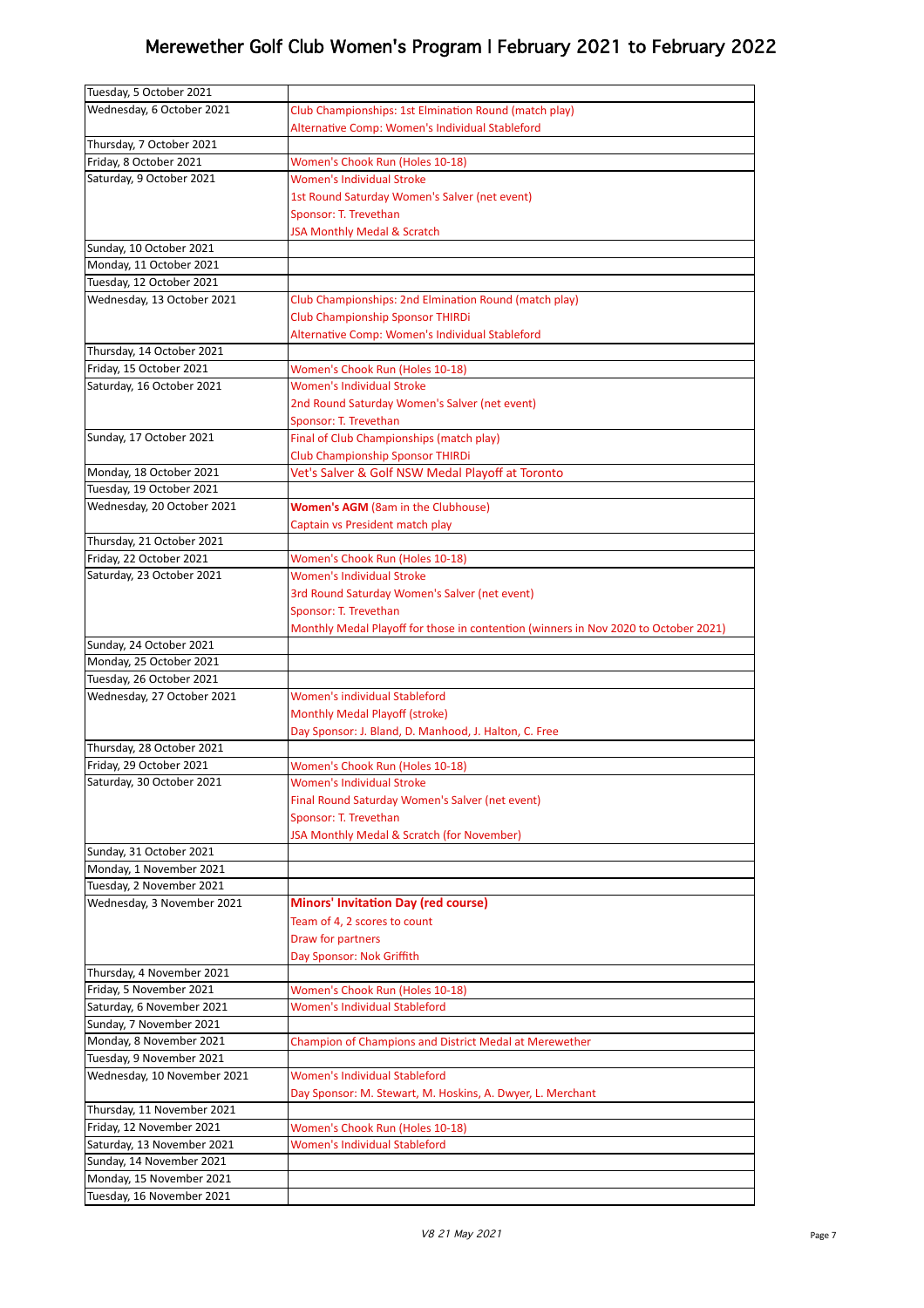| Tuesday, 5 October 2021     |                                                                                     |
|-----------------------------|-------------------------------------------------------------------------------------|
| Wednesday, 6 October 2021   | Club Championships: 1st Elmination Round (match play)                               |
|                             | Alternative Comp: Women's Individual Stableford                                     |
| Thursday, 7 October 2021    |                                                                                     |
| Friday, 8 October 2021      | Women's Chook Run (Holes 10-18)                                                     |
| Saturday, 9 October 2021    | <b>Women's Individual Stroke</b>                                                    |
|                             | 1st Round Saturday Women's Salver (net event)                                       |
|                             | Sponsor: T. Trevethan                                                               |
|                             | JSA Monthly Medal & Scratch                                                         |
| Sunday, 10 October 2021     |                                                                                     |
| Monday, 11 October 2021     |                                                                                     |
| Tuesday, 12 October 2021    |                                                                                     |
| Wednesday, 13 October 2021  | Club Championships: 2nd Elmination Round (match play)                               |
|                             | <b>Club Championship Sponsor THIRDi</b>                                             |
|                             | Alternative Comp: Women's Individual Stableford                                     |
| Thursday, 14 October 2021   |                                                                                     |
| Friday, 15 October 2021     |                                                                                     |
| Saturday, 16 October 2021   | Women's Chook Run (Holes 10-18)<br><b>Women's Individual Stroke</b>                 |
|                             |                                                                                     |
|                             | 2nd Round Saturday Women's Salver (net event)                                       |
|                             | Sponsor: T. Trevethan                                                               |
| Sunday, 17 October 2021     | Final of Club Championships (match play)                                            |
|                             | <b>Club Championship Sponsor THIRDi</b>                                             |
| Monday, 18 October 2021     | Vet's Salver & Golf NSW Medal Playoff at Toronto                                    |
| Tuesday, 19 October 2021    |                                                                                     |
| Wednesday, 20 October 2021  | <b>Women's AGM</b> (8am in the Clubhouse)                                           |
|                             | Captain vs President match play                                                     |
| Thursday, 21 October 2021   |                                                                                     |
| Friday, 22 October 2021     | Women's Chook Run (Holes 10-18)                                                     |
| Saturday, 23 October 2021   | <b>Women's Individual Stroke</b>                                                    |
|                             | 3rd Round Saturday Women's Salver (net event)                                       |
|                             | Sponsor: T. Trevethan                                                               |
|                             | Monthly Medal Playoff for those in contention (winners in Nov 2020 to October 2021) |
| Sunday, 24 October 2021     |                                                                                     |
| Monday, 25 October 2021     |                                                                                     |
| Tuesday, 26 October 2021    |                                                                                     |
| Wednesday, 27 October 2021  | Women's individual Stableford                                                       |
|                             | Monthly Medal Playoff (stroke)                                                      |
|                             | Day Sponsor: J. Bland, D. Manhood, J. Halton, C. Free                               |
| Thursday, 28 October 2021   |                                                                                     |
| Friday, 29 October 2021     | Women's Chook Run (Holes 10-18)                                                     |
| Saturday, 30 October 2021   | <b>Women's Individual Stroke</b>                                                    |
|                             | Final Round Saturday Women's Salver (net event)                                     |
|                             | Sponsor: T. Trevethan                                                               |
|                             | JSA Monthly Medal & Scratch (for November)                                          |
| Sunday, 31 October 2021     |                                                                                     |
| Monday, 1 November 2021     |                                                                                     |
| Tuesday, 2 November 2021    |                                                                                     |
| Wednesday, 3 November 2021  | <b>Minors' Invitation Day (red course)</b>                                          |
|                             | Team of 4, 2 scores to count                                                        |
|                             | Draw for partners                                                                   |
|                             | Day Sponsor: Nok Griffith                                                           |
| Thursday, 4 November 2021   |                                                                                     |
| Friday, 5 November 2021     | Women's Chook Run (Holes 10-18)                                                     |
| Saturday, 6 November 2021   | Women's Individual Stableford                                                       |
| Sunday, 7 November 2021     |                                                                                     |
| Monday, 8 November 2021     | Champion of Champions and District Medal at Merewether                              |
| Tuesday, 9 November 2021    |                                                                                     |
| Wednesday, 10 November 2021 | <b>Women's Individual Stableford</b>                                                |
|                             | Day Sponsor: M. Stewart, M. Hoskins, A. Dwyer, L. Merchant                          |
| Thursday, 11 November 2021  |                                                                                     |
| Friday, 12 November 2021    | Women's Chook Run (Holes 10-18)                                                     |
| Saturday, 13 November 2021  | <b>Women's Individual Stableford</b>                                                |
| Sunday, 14 November 2021    |                                                                                     |
| Monday, 15 November 2021    |                                                                                     |
|                             |                                                                                     |
| Tuesday, 16 November 2021   |                                                                                     |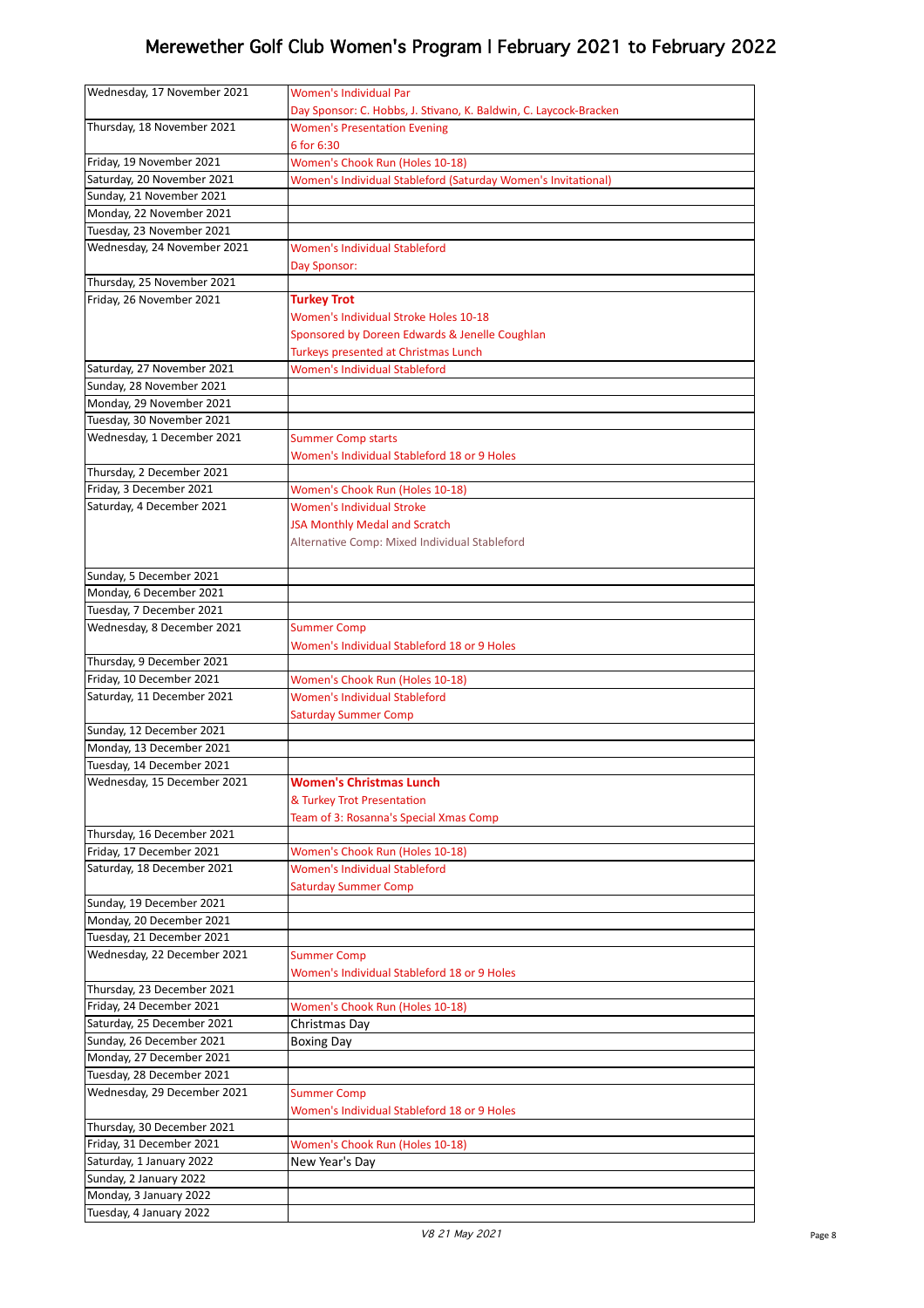| Wednesday, 17 November 2021 | <b>Women's Individual Par</b>                                     |
|-----------------------------|-------------------------------------------------------------------|
|                             |                                                                   |
|                             | Day Sponsor: C. Hobbs, J. Stivano, K. Baldwin, C. Laycock-Bracken |
| Thursday, 18 November 2021  | <b>Women's Presentation Evening</b>                               |
|                             | 6 for 6:30                                                        |
| Friday, 19 November 2021    | Women's Chook Run (Holes 10-18)                                   |
| Saturday, 20 November 2021  | Women's Individual Stableford (Saturday Women's Invitational)     |
| Sunday, 21 November 2021    |                                                                   |
| Monday, 22 November 2021    |                                                                   |
| Tuesday, 23 November 2021   |                                                                   |
| Wednesday, 24 November 2021 | Women's Individual Stableford                                     |
|                             |                                                                   |
|                             | Day Sponsor:                                                      |
| Thursday, 25 November 2021  |                                                                   |
| Friday, 26 November 2021    | <b>Turkey Trot</b>                                                |
|                             | <b>Women's Individual Stroke Holes 10-18</b>                      |
|                             | Sponsored by Doreen Edwards & Jenelle Coughlan                    |
|                             | Turkeys presented at Christmas Lunch                              |
| Saturday, 27 November 2021  | <b>Women's Individual Stableford</b>                              |
| Sunday, 28 November 2021    |                                                                   |
| Monday, 29 November 2021    |                                                                   |
| Tuesday, 30 November 2021   |                                                                   |
| Wednesday, 1 December 2021  | <b>Summer Comp starts</b>                                         |
|                             | Women's Individual Stableford 18 or 9 Holes                       |
| Thursday, 2 December 2021   |                                                                   |
| Friday, 3 December 2021     | Women's Chook Run (Holes 10-18)                                   |
| Saturday, 4 December 2021   | <b>Women's Individual Stroke</b>                                  |
|                             |                                                                   |
|                             | JSA Monthly Medal and Scratch                                     |
|                             | Alternative Comp: Mixed Individual Stableford                     |
|                             |                                                                   |
| Sunday, 5 December 2021     |                                                                   |
| Monday, 6 December 2021     |                                                                   |
| Tuesday, 7 December 2021    |                                                                   |
| Wednesday, 8 December 2021  | <b>Summer Comp</b>                                                |
|                             | Women's Individual Stableford 18 or 9 Holes                       |
| Thursday, 9 December 2021   |                                                                   |
| Friday, 10 December 2021    | Women's Chook Run (Holes 10-18)                                   |
| Saturday, 11 December 2021  | <b>Women's Individual Stableford</b>                              |
|                             | <b>Saturday Summer Comp</b>                                       |
| Sunday, 12 December 2021    |                                                                   |
|                             |                                                                   |
| Monday, 13 December 2021    |                                                                   |
| Tuesday, 14 December 2021   |                                                                   |
| Wednesday, 15 December 2021 | <b>Women's Christmas Lunch</b>                                    |
|                             | & Turkey Trot Presentation                                        |
|                             | Team of 3: Rosanna's Special Xmas Comp                            |
| Thursday, 16 December 2021  |                                                                   |
| Friday, 17 December 2021    | Women's Chook Run (Holes 10-18)                                   |
| Saturday, 18 December 2021  | <b>Women's Individual Stableford</b>                              |
|                             | <b>Saturday Summer Comp</b>                                       |
| Sunday, 19 December 2021    |                                                                   |
| Monday, 20 December 2021    |                                                                   |
| Tuesday, 21 December 2021   |                                                                   |
| Wednesday, 22 December 2021 | <b>Summer Comp</b>                                                |
|                             | Women's Individual Stableford 18 or 9 Holes                       |
| Thursday, 23 December 2021  |                                                                   |
|                             |                                                                   |
| Friday, 24 December 2021    | Women's Chook Run (Holes 10-18)                                   |
| Saturday, 25 December 2021  | Christmas Day                                                     |
| Sunday, 26 December 2021    | <b>Boxing Day</b>                                                 |
| Monday, 27 December 2021    |                                                                   |
| Tuesday, 28 December 2021   |                                                                   |
| Wednesday, 29 December 2021 | <b>Summer Comp</b>                                                |
|                             | Women's Individual Stableford 18 or 9 Holes                       |
| Thursday, 30 December 2021  |                                                                   |
| Friday, 31 December 2021    | Women's Chook Run (Holes 10-18)                                   |
| Saturday, 1 January 2022    | New Year's Day                                                    |
| Sunday, 2 January 2022      |                                                                   |
| Monday, 3 January 2022      |                                                                   |
|                             |                                                                   |
| Tuesday, 4 January 2022     |                                                                   |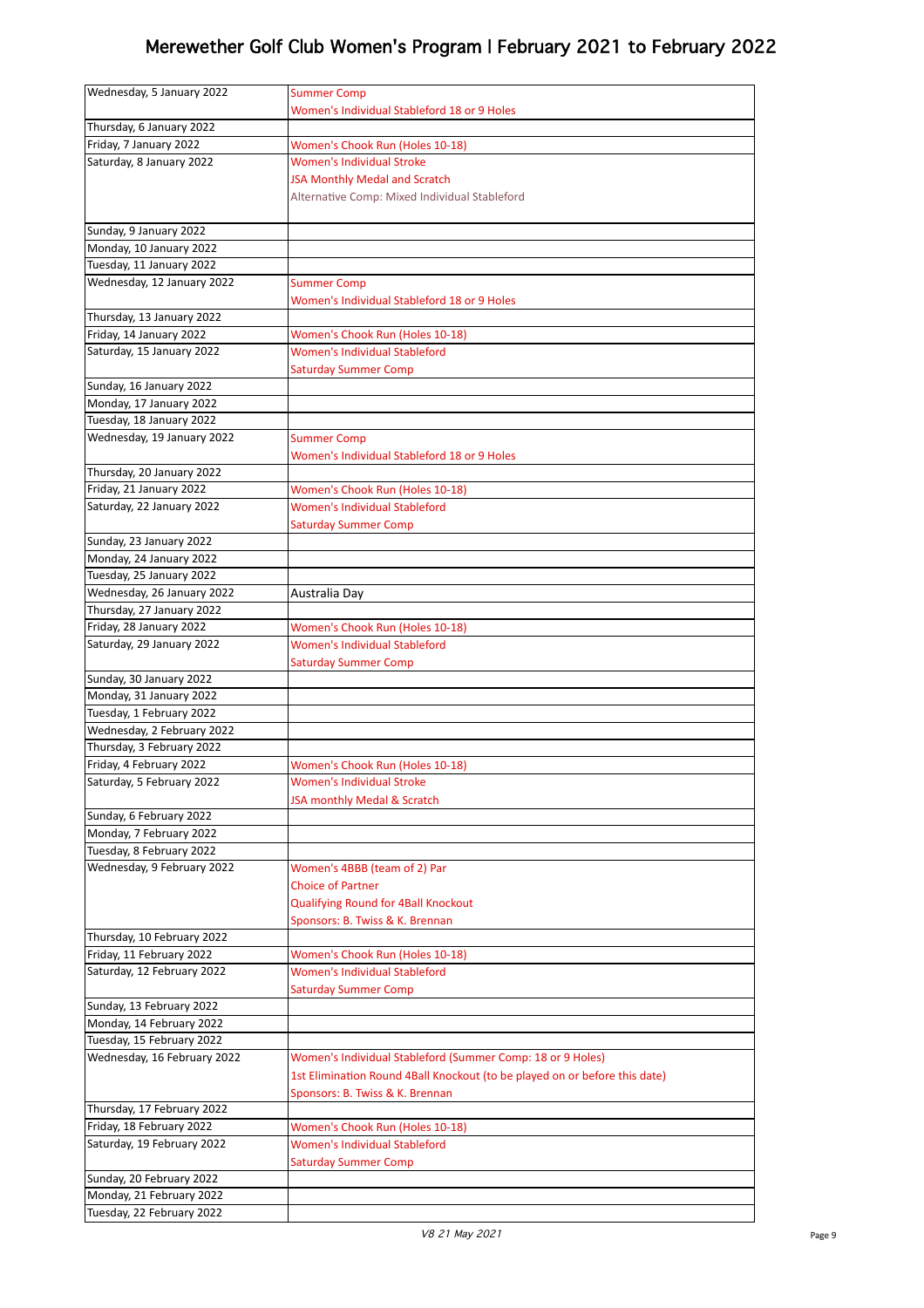| Wednesday, 5 January 2022                          | <b>Summer Comp</b>                                                         |
|----------------------------------------------------|----------------------------------------------------------------------------|
|                                                    | Women's Individual Stableford 18 or 9 Holes                                |
| Thursday, 6 January 2022                           |                                                                            |
| Friday, 7 January 2022                             | Women's Chook Run (Holes 10-18)                                            |
| Saturday, 8 January 2022                           | <b>Women's Individual Stroke</b>                                           |
|                                                    | <b>JSA Monthly Medal and Scratch</b>                                       |
|                                                    | Alternative Comp: Mixed Individual Stableford                              |
|                                                    |                                                                            |
| Sunday, 9 January 2022                             |                                                                            |
| Monday, 10 January 2022                            |                                                                            |
| Tuesday, 11 January 2022                           |                                                                            |
| Wednesday, 12 January 2022                         | <b>Summer Comp</b>                                                         |
|                                                    | Women's Individual Stableford 18 or 9 Holes                                |
| Thursday, 13 January 2022                          |                                                                            |
| Friday, 14 January 2022                            | Women's Chook Run (Holes 10-18)                                            |
| Saturday, 15 January 2022                          | <b>Women's Individual Stableford</b>                                       |
|                                                    | <b>Saturday Summer Comp</b>                                                |
| Sunday, 16 January 2022                            |                                                                            |
| Monday, 17 January 2022                            |                                                                            |
| Tuesday, 18 January 2022                           |                                                                            |
| Wednesday, 19 January 2022                         | <b>Summer Comp</b>                                                         |
|                                                    | Women's Individual Stableford 18 or 9 Holes                                |
| Thursday, 20 January 2022                          |                                                                            |
| Friday, 21 January 2022                            | Women's Chook Run (Holes 10-18)                                            |
| Saturday, 22 January 2022                          | Women's Individual Stableford                                              |
|                                                    | <b>Saturday Summer Comp</b>                                                |
| Sunday, 23 January 2022                            |                                                                            |
| Monday, 24 January 2022                            |                                                                            |
| Tuesday, 25 January 2022                           |                                                                            |
| Wednesday, 26 January 2022                         | Australia Day                                                              |
| Thursday, 27 January 2022                          |                                                                            |
| Friday, 28 January 2022                            | Women's Chook Run (Holes 10-18)                                            |
| Saturday, 29 January 2022                          | Women's Individual Stableford                                              |
|                                                    | <b>Saturday Summer Comp</b>                                                |
| Sunday, 30 January 2022<br>Monday, 31 January 2022 |                                                                            |
| Tuesday, 1 February 2022                           |                                                                            |
| Wednesday, 2 February 2022                         |                                                                            |
| Thursday, 3 February 2022                          |                                                                            |
| Friday, 4 February 2022                            | Women's Chook Run (Holes 10-18)                                            |
| Saturday, 5 February 2022                          | <b>Women's Individual Stroke</b>                                           |
|                                                    | JSA monthly Medal & Scratch                                                |
| Sunday, 6 February 2022                            |                                                                            |
| Monday, 7 February 2022                            |                                                                            |
| Tuesday, 8 February 2022                           |                                                                            |
| Wednesday, 9 February 2022                         | Women's 4BBB (team of 2) Par                                               |
|                                                    | <b>Choice of Partner</b>                                                   |
|                                                    | <b>Qualifying Round for 4Ball Knockout</b>                                 |
|                                                    | Sponsors: B. Twiss & K. Brennan                                            |
| Thursday, 10 February 2022                         |                                                                            |
| Friday, 11 February 2022                           | Women's Chook Run (Holes 10-18)                                            |
| Saturday, 12 February 2022                         | Women's Individual Stableford                                              |
|                                                    | <b>Saturday Summer Comp</b>                                                |
| Sunday, 13 February 2022                           |                                                                            |
| Monday, 14 February 2022                           |                                                                            |
| Tuesday, 15 February 2022                          |                                                                            |
| Wednesday, 16 February 2022                        | Women's Individual Stableford (Summer Comp: 18 or 9 Holes)                 |
|                                                    | 1st Elimination Round 4Ball Knockout (to be played on or before this date) |
|                                                    | Sponsors: B. Twiss & K. Brennan                                            |
| Thursday, 17 February 2022                         |                                                                            |
| Friday, 18 February 2022                           | Women's Chook Run (Holes 10-18)                                            |
| Saturday, 19 February 2022                         | Women's Individual Stableford                                              |
|                                                    | <b>Saturday Summer Comp</b>                                                |
| Sunday, 20 February 2022                           |                                                                            |
| Monday, 21 February 2022                           |                                                                            |
| Tuesday, 22 February 2022                          |                                                                            |